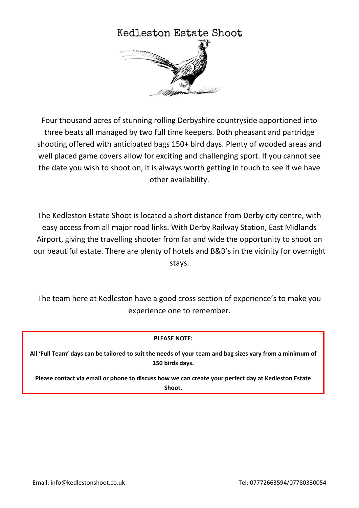

Four thousand acres of stunning rolling Derbyshire countryside apportioned into three beats all managed by two full time keepers. Both pheasant and partridge shooting offered with anticipated bags 150+ bird days. Plenty of wooded areas and well placed game covers allow for exciting and challenging sport. If you cannot see the date you wish to shoot on, it is always worth getting in touch to see if we have other availability.

The Kedleston Estate Shoot is located a short distance from Derby city centre, with easy access from all major road links. With Derby Railway Station, East Midlands Airport, giving the travelling shooter from far and wide the opportunity to shoot on our beautiful estate. There are plenty of hotels and B&B's in the vicinity for overnight stays.

The team here at Kedleston have a good cross section of experience's to make you experience one to remember.

## **PLEASE NOTE:**

**All 'Full Team' days can be tailored to suit the needs of your team and bag sizes vary from a minimum of 150 birds days.**

**Please contact via email or phone to discuss how we can create your perfect day at Kedleston Estate Shoot.**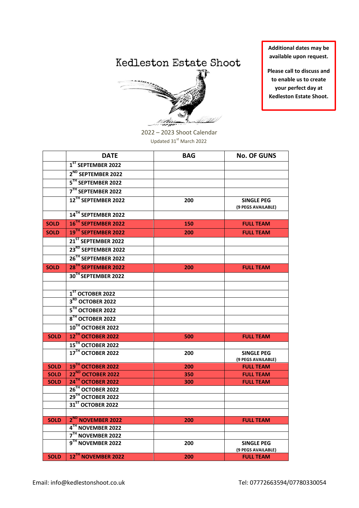## Kedleston Estate Shoot



**Additional dates may be available upon request.**

**Please call to discuss and to enable us to create your perfect day at Kedleston Estate Shoot.**

2022 – 2023 Shoot Calendar Updated  $31<sup>st</sup>$  March 2022

|             | <b>DATE</b>                     | <b>BAG</b> | <b>No. OF GUNS</b>                      |
|-------------|---------------------------------|------------|-----------------------------------------|
|             | 1 <sup>ST</sup> SEPTEMBER 2022  |            |                                         |
|             | 2 <sup>ND</sup> SEPTEMBER 2022  |            |                                         |
|             | 5 <sup>TH</sup> SEPTEMBER 2022  |            |                                         |
|             | 7 <sup>TH</sup> SEPTEMBER 2022  |            |                                         |
|             | 12 <sup>TH</sup> SEPTEMBER 2022 | 200        | SINGLE PEG<br>(9 PEGS AVAILABLE)        |
|             | 14 <sup>TH</sup> SEPTEMBER 2022 |            |                                         |
| <b>SOLD</b> | 16 <sup>TH</sup> SEPTEMBER 2022 | 150        | <b>FULL TEAM</b>                        |
| <b>SOLD</b> | 19 <sup>TH</sup> SEPTEMBER 2022 | 200        | <b>FULL TEAM</b>                        |
|             | 21 <sup>ST</sup> SEPTEMBER 2022 |            |                                         |
|             | 23 <sup>RD</sup> SEPTEMBER 2022 |            |                                         |
|             | 26 <sup>TH</sup> SEPTEMBER 2022 |            |                                         |
| <b>SOLD</b> | 28 <sup>TH</sup> SEPTEMBER 2022 | 200        | <b>FULL TEAM</b>                        |
|             | 30TH SEPTEMBER 2022             |            |                                         |
|             |                                 |            |                                         |
|             | 1 <sup>ST</sup> OCTOBER 2022    |            |                                         |
|             | 3 <sup>RD</sup> OCTOBER 2022    |            |                                         |
|             | 5TH OCTOBER 2022                |            |                                         |
|             | 8TH OCTOBER 2022                |            |                                         |
|             | 10TH OCTOBER 2022               |            |                                         |
| <b>SOLD</b> | 12TH OCTOBER 2022               | 500        | <b>FULL TEAM</b>                        |
|             | 15 <sup>TH</sup> OCTOBER 2022   |            |                                         |
|             | 17TH OCTOBER 2022               | 200        | <b>SINGLE PEG</b><br>(9 PEGS AVAILABLE) |
| <b>SOLD</b> | 19TH OCTOBER 2022               | 200        | <b>FULL TEAM</b>                        |
| <b>SOLD</b> | 22 <sup>ND</sup> OCTOBER 2022   | 350        | <b>FULL TEAM</b>                        |
| <b>SOLD</b> | 24TH OCTOBER 2022               | 300        | <b>FULL TEAM</b>                        |
|             | 26TH OCTOBER 2022               |            |                                         |
|             | 29TH OCTOBER 2022               |            |                                         |
|             | 31 <sup>ST</sup> OCTOBER 2022   |            |                                         |
| <b>SOLD</b> | 2 <sup>ND</sup> NOVEMBER 2022   | 200        | <b>FULL TEAM</b>                        |
|             | 4 <sup>TH</sup> NOVEMBER 2022   |            |                                         |
|             | 7 <sup>TH</sup> NOVEMBER 2022   |            |                                         |
|             | 9TH NOVEMBER 2022               | 200        | <b>SINGLE PEG</b>                       |
|             |                                 |            | (9 PEGS AVAILABLE)                      |
| <b>SOLD</b> | 12TH NOVEMBER 2022              | 200        | <b>FULL TEAM</b>                        |